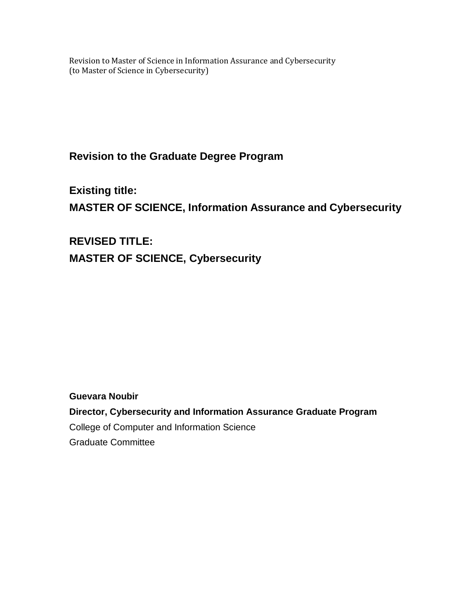Revision to Master of Science in Information Assurance and Cybersecurity (to Master of Science in Cybersecurity)

**Revision to the Graduate Degree Program** 

**Existing title: MASTER OF SCIENCE, Information Assurance and Cybersecurity** 

**REVISED TITLE: MASTER OF SCIENCE, Cybersecurity** 

**Guevara Noubir**

**Director, Cybersecurity and Information Assurance Graduate Program** College of Computer and Information Science Graduate Committee